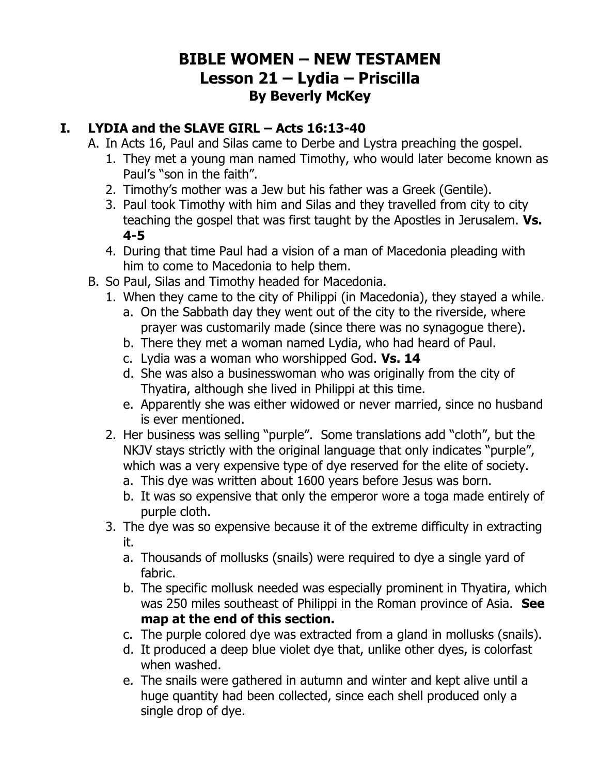## **BIBLE WOMEN – NEW TESTAMEN Lesson 21 – Lydia – Priscilla By Beverly McKey**

## **I. LYDIA and the SLAVE GIRL – Acts 16:13-40**

- A. In Acts 16, Paul and Silas came to Derbe and Lystra preaching the gospel.
	- 1. They met a young man named Timothy, who would later become known as Paul's "son in the faith".
	- 2. Timothy's mother was a Jew but his father was a Greek (Gentile).
	- 3. Paul took Timothy with him and Silas and they travelled from city to city teaching the gospel that was first taught by the Apostles in Jerusalem. **Vs. 4-5**
	- 4. During that time Paul had a vision of a man of Macedonia pleading with him to come to Macedonia to help them.
- B. So Paul, Silas and Timothy headed for Macedonia.
	- 1. When they came to the city of Philippi (in Macedonia), they stayed a while.
		- a. On the Sabbath day they went out of the city to the riverside, where prayer was customarily made (since there was no synagogue there).
		- b. There they met a woman named Lydia, who had heard of Paul.
		- c. Lydia was a woman who worshipped God. **Vs. 14**
		- d. She was also a businesswoman who was originally from the city of Thyatira, although she lived in Philippi at this time.
		- e. Apparently she was either widowed or never married, since no husband is ever mentioned.
	- 2. Her business was selling "purple". Some translations add "cloth", but the NKJV stays strictly with the original language that only indicates "purple", which was a very expensive type of dye reserved for the elite of society.
		- a. This dye was written about 1600 years before Jesus was born.
		- b. It was so expensive that only the emperor wore a toga made entirely of purple cloth.
	- 3. The dye was so expensive because it of the extreme difficulty in extracting it.
		- a. Thousands of mollusks (snails) were required to dye a single yard of fabric.
		- b. The specific mollusk needed was especially prominent in Thyatira, which was 250 miles southeast of Philippi in the Roman province of Asia. **See map at the end of this section.**
		- c. The purple colored dye was extracted from a gland in mollusks (snails).
		- d. It produced a deep blue violet dye that, unlike other dyes, is colorfast when washed.
		- e. The snails were gathered in autumn and winter and kept alive until a huge quantity had been collected, since each shell produced only a single drop of dye.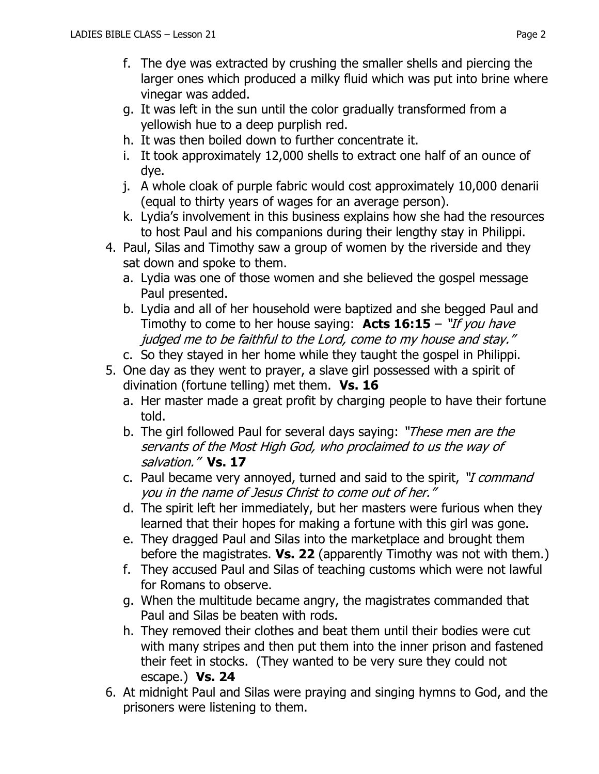- f. The dye was extracted by crushing the smaller shells and piercing the larger ones which produced a milky fluid which was put into brine where vinegar was added.
- g. It was left in the sun until the color gradually transformed from a yellowish hue to a deep purplish red.
- h. It was then boiled down to further concentrate it.
- i. It took approximately 12,000 shells to extract one half of an ounce of dye.
- j. A whole cloak of purple fabric would cost approximately 10,000 denarii (equal to thirty years of wages for an average person).
- k. Lydia's involvement in this business explains how she had the resources to host Paul and his companions during their lengthy stay in Philippi.
- 4. Paul, Silas and Timothy saw a group of women by the riverside and they sat down and spoke to them.
	- a. Lydia was one of those women and she believed the gospel message Paul presented.
	- b. Lydia and all of her household were baptized and she begged Paul and Timothy to come to her house saying: **Acts 16:15** – "If you have judged me to be faithful to the Lord, come to my house and stay."
	- c. So they stayed in her home while they taught the gospel in Philippi.
- 5. One day as they went to prayer, a slave girl possessed with a spirit of divination (fortune telling) met them. **Vs. 16**
	- a. Her master made a great profit by charging people to have their fortune told.
	- b. The girl followed Paul for several days saying: "These men are the servants of the Most High God, who proclaimed to us the way of salvation." **Vs. 17**
	- c. Paul became very annoyed, turned and said to the spirit, "*I command* you in the name of Jesus Christ to come out of her."
	- d. The spirit left her immediately, but her masters were furious when they learned that their hopes for making a fortune with this girl was gone.
	- e. They dragged Paul and Silas into the marketplace and brought them before the magistrates. **Vs. 22** (apparently Timothy was not with them.)
	- f. They accused Paul and Silas of teaching customs which were not lawful for Romans to observe.
	- g. When the multitude became angry, the magistrates commanded that Paul and Silas be beaten with rods.
	- h. They removed their clothes and beat them until their bodies were cut with many stripes and then put them into the inner prison and fastened their feet in stocks. (They wanted to be very sure they could not escape.) **Vs. 24**
- 6. At midnight Paul and Silas were praying and singing hymns to God, and the prisoners were listening to them.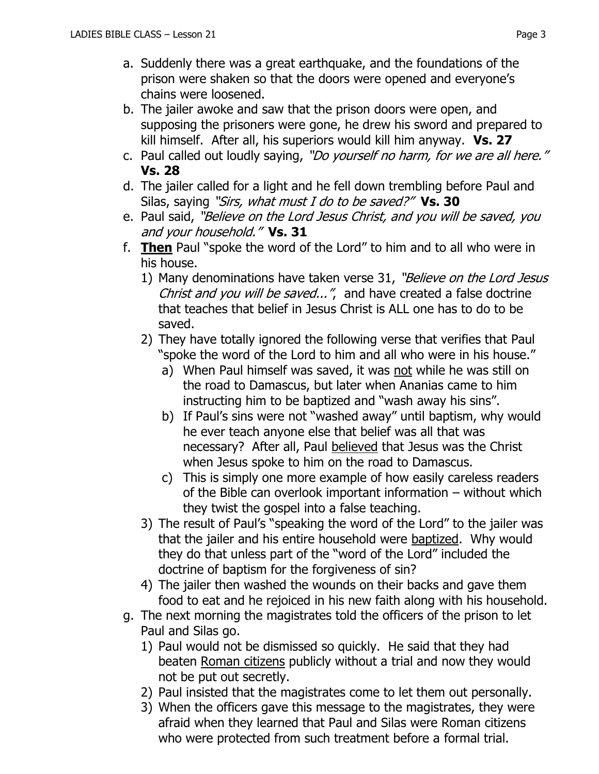- a. Suddenly there was a great earthquake, and the foundations of the prison were shaken so that the doors were opened and everyone's chains were loosened.
- b. The jailer awoke and saw that the prison doors were open, and supposing the prisoners were gone, he drew his sword and prepared to kill himself. After all, his superiors would kill him anyway. **Vs. 27**
- c. Paul called out loudly saying, "Do yourself no harm, for we are all here." **Vs. 28**
- d. The jailer called for a light and he fell down trembling before Paul and Silas, saying "Sirs, what must I do to be saved?" **Vs. 30**
- e. Paul said, "Believe on the Lord Jesus Christ, and you will be saved, you and your household." **Vs. 31**
- f. **Then** Paul "spoke the word of the Lord" to him and to all who were in his house.
	- 1) Many denominations have taken verse 31, "Believe on the Lord Jesus Christ and you will be saved...", and have created a false doctrine that teaches that belief in Jesus Christ is ALL one has to do to be saved.
	- 2) They have totally ignored the following verse that verifies that Paul "spoke the word of the Lord to him and all who were in his house."
		- a) When Paul himself was saved, it was not while he was still on the road to Damascus, but later when Ananias came to him instructing him to be baptized and "wash away his sins".
		- b) If Paul's sins were not "washed away" until baptism, why would he ever teach anyone else that belief was all that was necessary? After all, Paul believed that Jesus was the Christ when Jesus spoke to him on the road to Damascus.
		- c) This is simply one more example of how easily careless readers of the Bible can overlook important information – without which they twist the gospel into a false teaching.
	- 3) The result of Paul's "speaking the word of the Lord" to the jailer was that the jailer and his entire household were baptized. Why would they do that unless part of the "word of the Lord" included the doctrine of baptism for the forgiveness of sin?
	- 4) The jailer then washed the wounds on their backs and gave them food to eat and he rejoiced in his new faith along with his household.
- g. The next morning the magistrates told the officers of the prison to let Paul and Silas go.
	- 1) Paul would not be dismissed so quickly. He said that they had beaten Roman citizens publicly without a trial and now they would not be put out secretly.
	- 2) Paul insisted that the magistrates come to let them out personally.
	- 3) When the officers gave this message to the magistrates, they were afraid when they learned that Paul and Silas were Roman citizens who were protected from such treatment before a formal trial.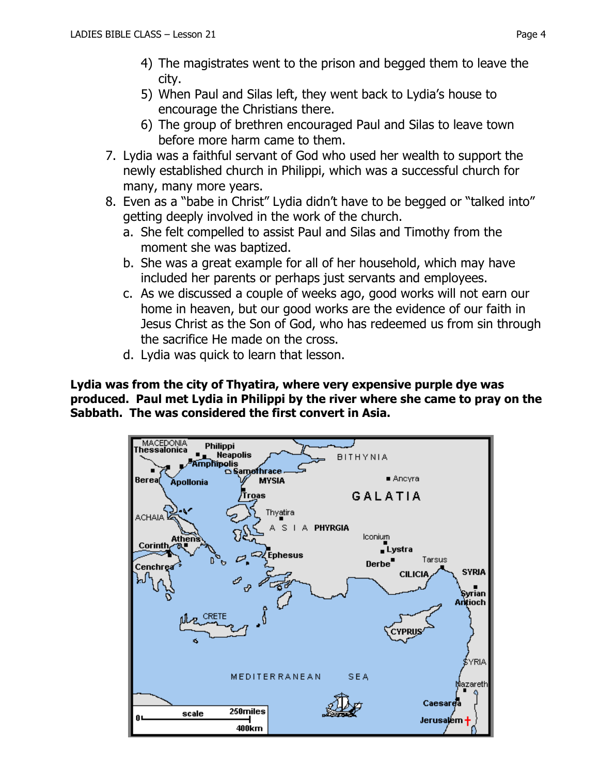- 5) When Paul and Silas left, they went back to Lydia's house to encourage the Christians there.
- 6) The group of brethren encouraged Paul and Silas to leave town before more harm came to them.
- 7. Lydia was a faithful servant of God who used her wealth to support the newly established church in Philippi, which was a successful church for many, many more years.
- 8. Even as a "babe in Christ" Lydia didn't have to be begged or "talked into" getting deeply involved in the work of the church.
	- a. She felt compelled to assist Paul and Silas and Timothy from the moment she was baptized.
	- b. She was a great example for all of her household, which may have included her parents or perhaps just servants and employees.
	- c. As we discussed a couple of weeks ago, good works will not earn our home in heaven, but our good works are the evidence of our faith in Jesus Christ as the Son of God, who has redeemed us from sin through the sacrifice He made on the cross.
	- d. Lydia was quick to learn that lesson.

**Lydia was from the city of Thyatira, where very expensive purple dye was produced. Paul met Lydia in Philippi by the river where she came to pray on the Sabbath. The was considered the first convert in Asia.**

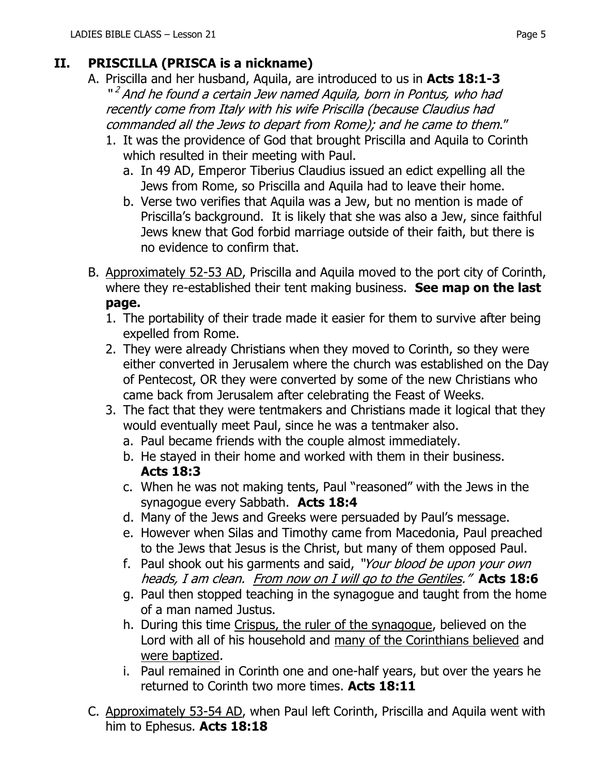## **II. PRISCILLA (PRISCA is a nickname)**

- A. Priscilla and her husband, Aquila, are introduced to us in **Acts 18:1-3** "<sup>2</sup> And he found a certain Jew named Aquila, born in Pontus, who had recently come from Italy with his wife Priscilla (because Claudius had commanded all the Jews to depart from Rome); and he came to them."
	- 1. It was the providence of God that brought Priscilla and Aquila to Corinth which resulted in their meeting with Paul.
		- a. In 49 AD, Emperor Tiberius Claudius issued an edict expelling all the Jews from Rome, so Priscilla and Aquila had to leave their home.
		- b. Verse two verifies that Aquila was a Jew, but no mention is made of Priscilla's background. It is likely that she was also a Jew, since faithful Jews knew that God forbid marriage outside of their faith, but there is no evidence to confirm that.
- B. Approximately 52-53 AD, Priscilla and Aquila moved to the port city of Corinth, where they re-established their tent making business. **See map on the last page.**
	- 1. The portability of their trade made it easier for them to survive after being expelled from Rome.
	- 2. They were already Christians when they moved to Corinth, so they were either converted in Jerusalem where the church was established on the Day of Pentecost, OR they were converted by some of the new Christians who came back from Jerusalem after celebrating the Feast of Weeks.
	- 3. The fact that they were tentmakers and Christians made it logical that they would eventually meet Paul, since he was a tentmaker also.
		- a. Paul became friends with the couple almost immediately.
		- b. He stayed in their home and worked with them in their business. **Acts 18:3**
		- c. When he was not making tents, Paul "reasoned" with the Jews in the synagogue every Sabbath. **Acts 18:4**
		- d. Many of the Jews and Greeks were persuaded by Paul's message.
		- e. However when Silas and Timothy came from Macedonia, Paul preached to the Jews that Jesus is the Christ, but many of them opposed Paul.
		- f. Paul shook out his garments and said, "Your blood be upon your own heads, I am clean. From now on I will go to the Gentiles." **Acts 18:6**
		- g. Paul then stopped teaching in the synagogue and taught from the home of a man named Justus.
		- h. During this time Crispus, the ruler of the synagogue, believed on the Lord with all of his household and many of the Corinthians believed and were baptized.
		- i. Paul remained in Corinth one and one-half years, but over the years he returned to Corinth two more times. **Acts 18:11**
- C. Approximately 53-54 AD, when Paul left Corinth, Priscilla and Aquila went with him to Ephesus. **Acts 18:18**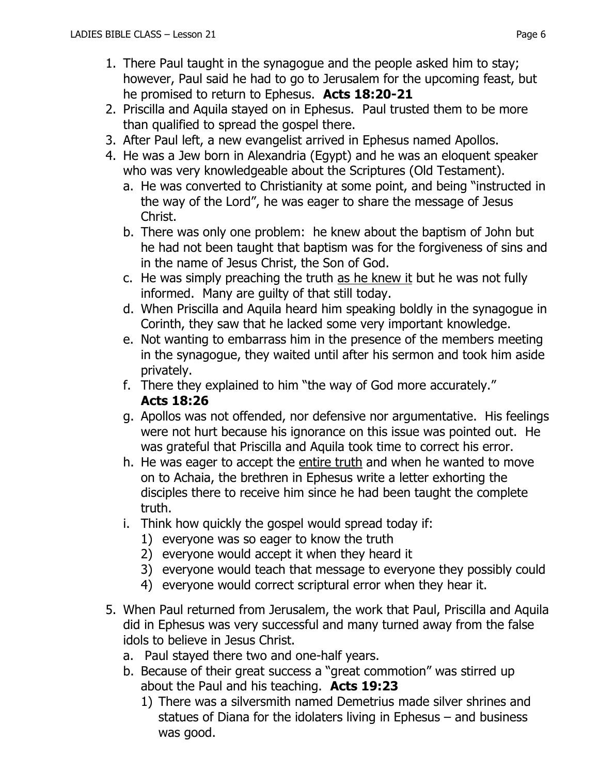- 1. There Paul taught in the synagogue and the people asked him to stay; however, Paul said he had to go to Jerusalem for the upcoming feast, but he promised to return to Ephesus. **Acts 18:20-21**
- 2. Priscilla and Aquila stayed on in Ephesus. Paul trusted them to be more than qualified to spread the gospel there.
- 3. After Paul left, a new evangelist arrived in Ephesus named Apollos.
- 4. He was a Jew born in Alexandria (Egypt) and he was an eloquent speaker who was very knowledgeable about the Scriptures (Old Testament).
	- a. He was converted to Christianity at some point, and being "instructed in the way of the Lord", he was eager to share the message of Jesus Christ.
	- b. There was only one problem: he knew about the baptism of John but he had not been taught that baptism was for the forgiveness of sins and in the name of Jesus Christ, the Son of God.
	- c. He was simply preaching the truth as he knew it but he was not fully informed. Many are guilty of that still today.
	- d. When Priscilla and Aquila heard him speaking boldly in the synagogue in Corinth, they saw that he lacked some very important knowledge.
	- e. Not wanting to embarrass him in the presence of the members meeting in the synagogue, they waited until after his sermon and took him aside privately.
	- f. There they explained to him "the way of God more accurately."

## **Acts 18:26**

- g. Apollos was not offended, nor defensive nor argumentative. His feelings were not hurt because his ignorance on this issue was pointed out. He was grateful that Priscilla and Aquila took time to correct his error.
- h. He was eager to accept the entire truth and when he wanted to move on to Achaia, the brethren in Ephesus write a letter exhorting the disciples there to receive him since he had been taught the complete truth.
- i. Think how quickly the gospel would spread today if:
	- 1) everyone was so eager to know the truth
	- 2) everyone would accept it when they heard it
	- 3) everyone would teach that message to everyone they possibly could
	- 4) everyone would correct scriptural error when they hear it.
- 5. When Paul returned from Jerusalem, the work that Paul, Priscilla and Aquila did in Ephesus was very successful and many turned away from the false idols to believe in Jesus Christ.
	- a. Paul stayed there two and one-half years.
	- b. Because of their great success a "great commotion" was stirred up about the Paul and his teaching. **Acts 19:23**
		- 1) There was a silversmith named Demetrius made silver shrines and statues of Diana for the idolaters living in Ephesus – and business was good.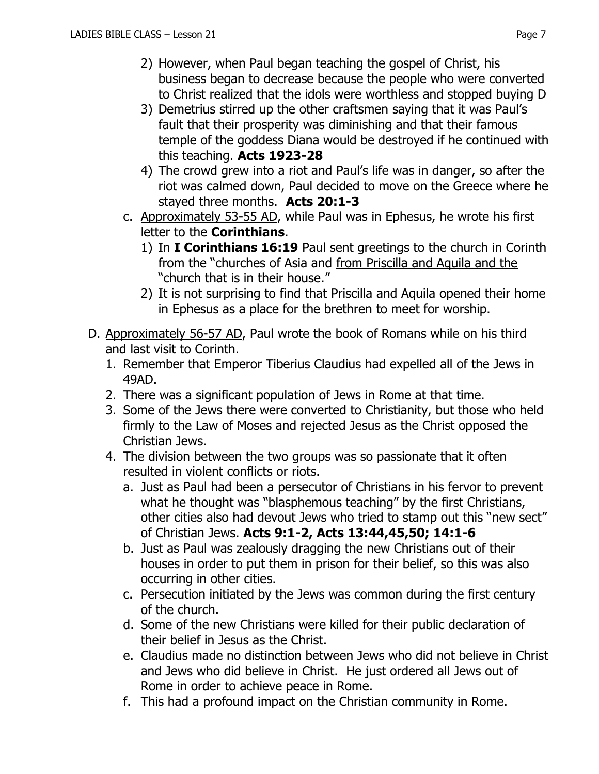- 3) Demetrius stirred up the other craftsmen saying that it was Paul's fault that their prosperity was diminishing and that their famous temple of the goddess Diana would be destroyed if he continued with this teaching. **Acts 1923-28**
- 4) The crowd grew into a riot and Paul's life was in danger, so after the riot was calmed down, Paul decided to move on the Greece where he stayed three months. **Acts 20:1-3**
- c. Approximately 53-55 AD, while Paul was in Ephesus, he wrote his first letter to the **Corinthians**.
	- 1) In **I Corinthians 16:19** Paul sent greetings to the church in Corinth from the "churches of Asia and from Priscilla and Aquila and the "church that is in their house."
	- 2) It is not surprising to find that Priscilla and Aquila opened their home in Ephesus as a place for the brethren to meet for worship.
- D. Approximately 56-57 AD, Paul wrote the book of Romans while on his third and last visit to Corinth.
	- 1. Remember that Emperor Tiberius Claudius had expelled all of the Jews in 49AD.
	- 2. There was a significant population of Jews in Rome at that time.
	- 3. Some of the Jews there were converted to Christianity, but those who held firmly to the Law of Moses and rejected Jesus as the Christ opposed the Christian Jews.
	- 4. The division between the two groups was so passionate that it often resulted in violent conflicts or riots.
		- a. Just as Paul had been a persecutor of Christians in his fervor to prevent what he thought was "blasphemous teaching" by the first Christians, other cities also had devout Jews who tried to stamp out this "new sect" of Christian Jews. **Acts 9:1-2, [Acts 13:44](http://biblia.com/bible/nkjv/Acts%2013.44)[,45,](http://biblia.com/bible/nkjv/Acts%2013.45)[50;](http://biblia.com/bible/nkjv/Acts%2013.50) [14:1-6](http://biblia.com/bible/nkjv/Acts%2014.1-6)**
		- b. Just as Paul was zealously dragging the new Christians out of their houses in order to put them in prison for their belief, so this was also occurring in other cities.
		- c. Persecution initiated by the Jews was common during the first century of the church.
		- d. Some of the new Christians were killed for their public declaration of their belief in Jesus as the Christ.
		- e. Claudius made no distinction between Jews who did not believe in Christ and Jews who did believe in Christ. He just ordered all Jews out of Rome in order to achieve peace in Rome.
		- f. This had a profound impact on the Christian community in Rome.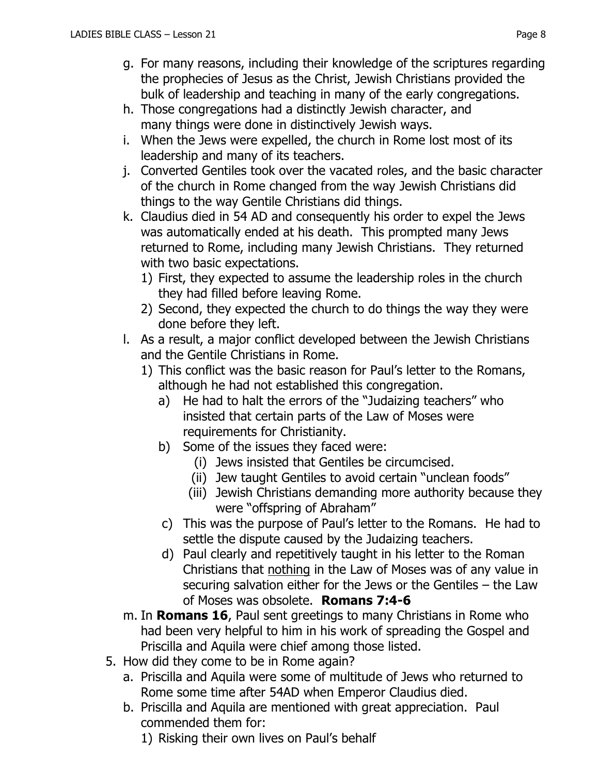- g. For many reasons, including their knowledge of the scriptures regarding the prophecies of Jesus as the Christ, Jewish Christians provided the bulk of leadership and teaching in many of the early congregations.
- h. Those congregations had a distinctly Jewish character, and many things were done in distinctively Jewish ways.
- i. When the Jews were expelled, the church in Rome lost most of its leadership and many of its teachers.
- j. Converted Gentiles took over the vacated roles, and the basic character of the church in Rome changed from the way Jewish Christians did things to the way Gentile Christians did things.
- k. Claudius died in 54 AD and consequently his order to expel the Jews was automatically ended at his death. This prompted many Jews returned to Rome, including many Jewish Christians. They returned with two basic expectations.
	- 1) First, they expected to assume the leadership roles in the church they had filled before leaving Rome.
	- 2) Second, they expected the church to do things the way they were done before they left.
- l. As a result, a major conflict developed between the Jewish Christians and the Gentile Christians in Rome.
	- 1) This conflict was the basic reason for Paul's letter to the Romans, although he had not established this congregation.
		- a) He had to halt the errors of the "Judaizing teachers" who insisted that certain parts of the Law of Moses were requirements for Christianity.
		- b) Some of the issues they faced were:
			- (i) Jews insisted that Gentiles be circumcised.
			- (ii) Jew taught Gentiles to avoid certain "unclean foods"
			- (iii) Jewish Christians demanding more authority because they were "offspring of Abraham"
		- c) This was the purpose of Paul's letter to the Romans. He had to settle the dispute caused by the Judaizing teachers.
		- d) Paul clearly and repetitively taught in his letter to the Roman Christians that nothing in the Law of Moses was of any value in securing salvation either for the Jews or the Gentiles – the Law of Moses was obsolete. **Romans 7:4-6**
- m. In **Romans 16**, Paul sent greetings to many Christians in Rome who had been very helpful to him in his work of spreading the Gospel and Priscilla and Aquila were chief among those listed.
- 5. How did they come to be in Rome again?
	- a. Priscilla and Aquila were some of multitude of Jews who returned to Rome some time after 54AD when Emperor Claudius died.
	- b. Priscilla and Aquila are mentioned with great appreciation. Paul commended them for:
		- 1) Risking their own lives on Paul's behalf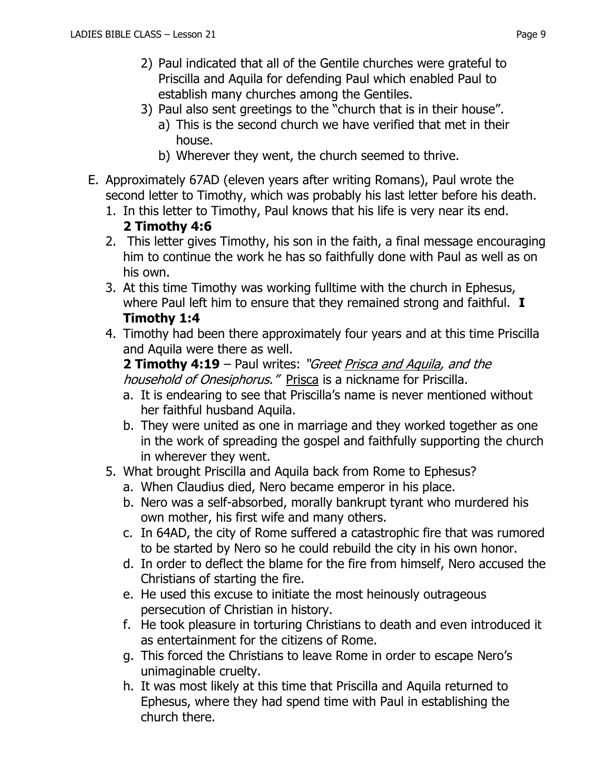- 2) Paul indicated that all of the Gentile churches were grateful to Priscilla and Aquila for defending Paul which enabled Paul to establish many churches among the Gentiles.
- 3) Paul also sent greetings to the "church that is in their house". a) This is the second church we have verified that met in their house.
	- b) Wherever they went, the church seemed to thrive.
- E. Approximately 67AD (eleven years after writing Romans), Paul wrote the second letter to Timothy, which was probably his last letter before his death.
	- 1. In this letter to Timothy, Paul knows that his life is very near its end. **2 Timothy 4:6**
	- 2. This letter gives Timothy, his son in the faith, a final message encouraging him to continue the work he has so faithfully done with Paul as well as on his own.
	- 3. At this time Timothy was working fulltime with the church in Ephesus, where Paul left him to ensure that they remained strong and faithful. **I Timothy 1:4**
	- 4. Timothy had been there approximately four years and at this time Priscilla and Aquila were there as well.

**2 Timothy 4:19** – Paul writes: "Greet Prisca and Aquila, and the household of Onesiphorus." Prisca is a nickname for Priscilla.

- a. It is endearing to see that Priscilla's name is never mentioned without her faithful husband Aquila.
- b. They were united as one in marriage and they worked together as one in the work of spreading the gospel and faithfully supporting the church in wherever they went.
- 5. What brought Priscilla and Aquila back from Rome to Ephesus?
	- a. When Claudius died, Nero became emperor in his place.
	- b. Nero was a self-absorbed, morally bankrupt tyrant who murdered his own mother, his first wife and many others.
	- c. In 64AD, the city of Rome suffered a catastrophic fire that was rumored to be started by Nero so he could rebuild the city in his own honor.
	- d. In order to deflect the blame for the fire from himself, Nero accused the Christians of starting the fire.
	- e. He used this excuse to initiate the most heinously outrageous persecution of Christian in history.
	- f. He took pleasure in torturing Christians to death and even introduced it as entertainment for the citizens of Rome.
	- g. This forced the Christians to leave Rome in order to escape Nero's unimaginable cruelty.
	- h. It was most likely at this time that Priscilla and Aquila returned to Ephesus, where they had spend time with Paul in establishing the church there.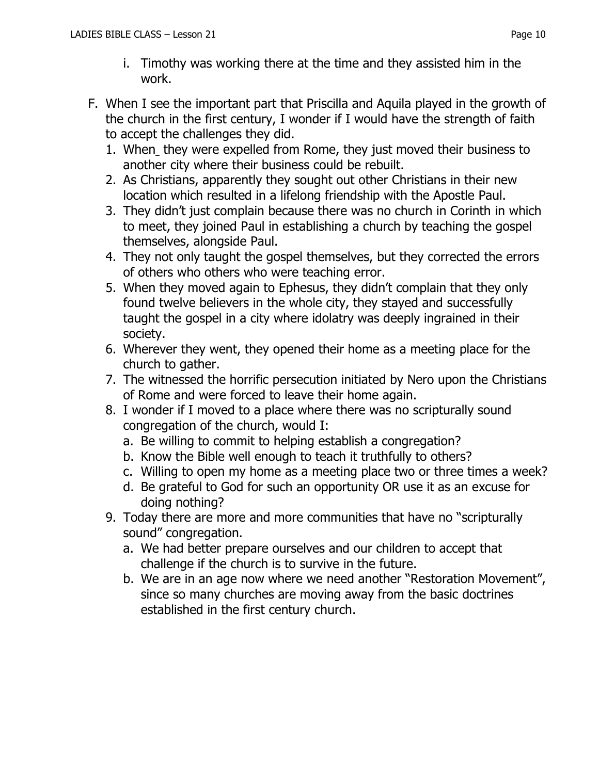- F. When I see the important part that Priscilla and Aquila played in the growth of the church in the first century, I wonder if I would have the strength of faith to accept the challenges they did.
	- 1. When they were expelled from Rome, they just moved their business to another city where their business could be rebuilt.
	- 2. As Christians, apparently they sought out other Christians in their new location which resulted in a lifelong friendship with the Apostle Paul.
	- 3. They didn't just complain because there was no church in Corinth in which to meet, they joined Paul in establishing a church by teaching the gospel themselves, alongside Paul.
	- 4. They not only taught the gospel themselves, but they corrected the errors of others who others who were teaching error.
	- 5. When they moved again to Ephesus, they didn't complain that they only found twelve believers in the whole city, they stayed and successfully taught the gospel in a city where idolatry was deeply ingrained in their society.
	- 6. Wherever they went, they opened their home as a meeting place for the church to gather.
	- 7. The witnessed the horrific persecution initiated by Nero upon the Christians of Rome and were forced to leave their home again.
	- 8. I wonder if I moved to a place where there was no scripturally sound congregation of the church, would I:
		- a. Be willing to commit to helping establish a congregation?
		- b. Know the Bible well enough to teach it truthfully to others?
		- c. Willing to open my home as a meeting place two or three times a week?
		- d. Be grateful to God for such an opportunity OR use it as an excuse for doing nothing?
	- 9. Today there are more and more communities that have no "scripturally sound" congregation.
		- a. We had better prepare ourselves and our children to accept that challenge if the church is to survive in the future.
		- b. We are in an age now where we need another "Restoration Movement", since so many churches are moving away from the basic doctrines established in the first century church.